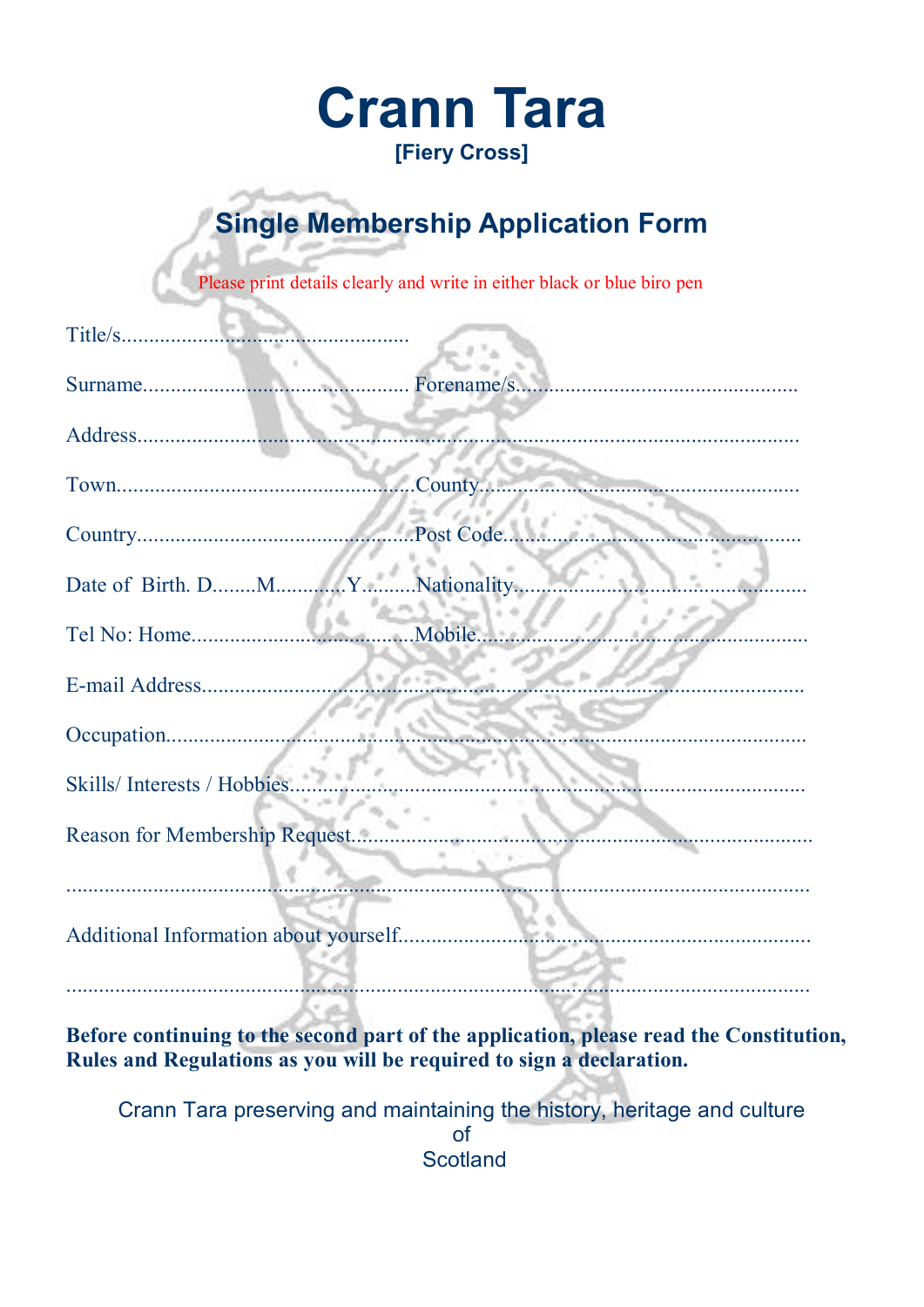## **Crann Tara** [Fiery Cross]

## **Single Membership Application Form**

Please print details clearly and write in either black or blue biro pen

| Title/s                               |        |
|---------------------------------------|--------|
|                                       |        |
|                                       |        |
|                                       |        |
|                                       |        |
| Date of Birth. DMYNationality         |        |
|                                       | Mobile |
|                                       |        |
|                                       |        |
| Skills/Interests/Hobbies.             |        |
| Reason for Membership Request         |        |
| Additional Information about yourself |        |
|                                       |        |

Before continuing to the second part of the application, please read the Constitution, Rules and Regulations as you will be required to sign a declaration.

Crann Tara preserving and maintaining the history, heritage and culture  $\Omega$ **Scotland**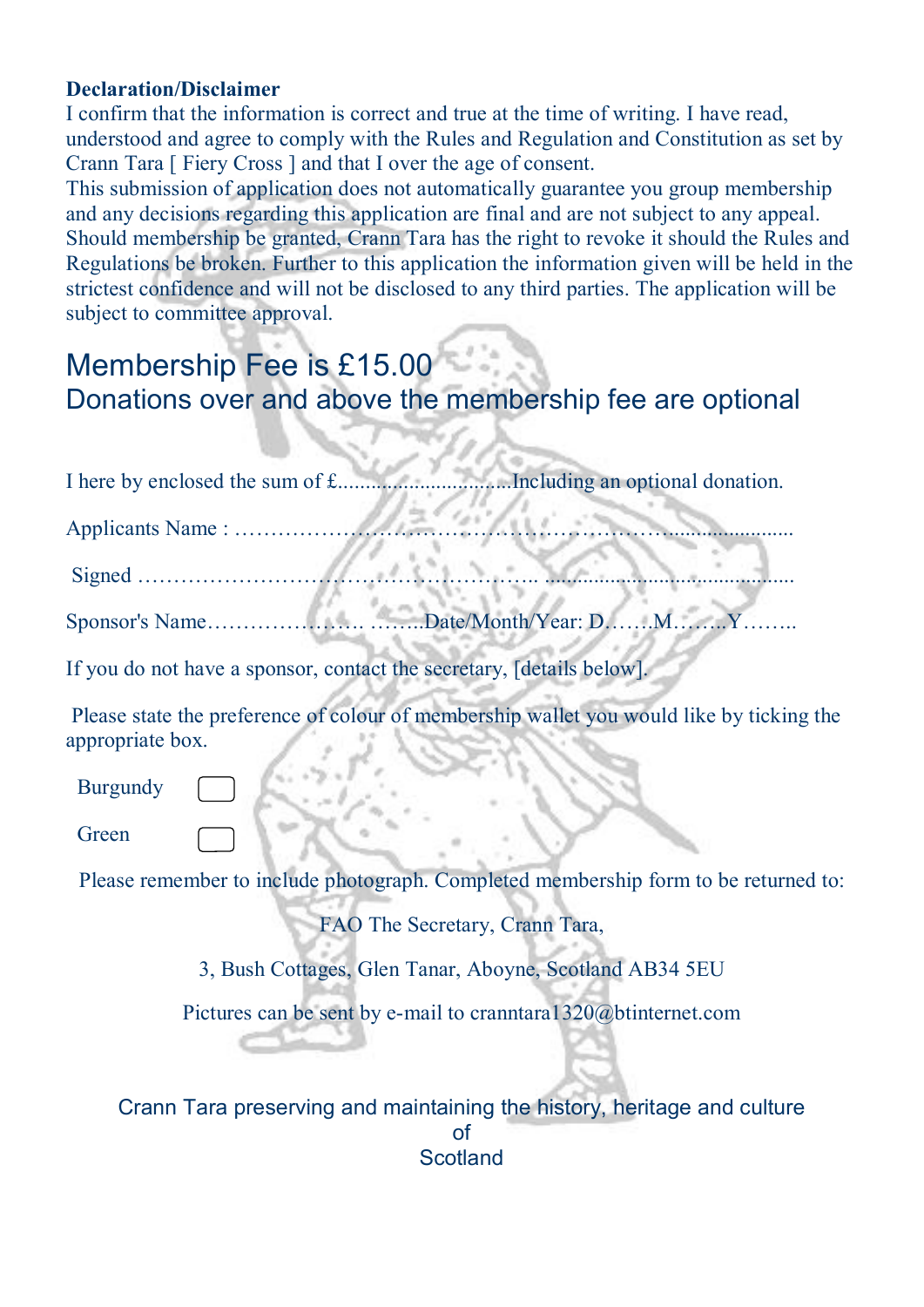## **Declaration/Disclaimer**

I confirm that the information is correct and true at the time of writing. I have read, understood and agree to comply with the Rules and Regulation and Constitution as set by Crann Tara [ Fiery Cross ] and that I over the age of consent.

This submission of application does not automatically guarantee you group membership and any decisions regarding this application are final and are not subject to any appeal. Should membership be granted, Crann Tara has the right to revoke it should the Rules and Regulations be broken. Further to this application the information given will be held in the strictest confidence and will not be disclosed to any third parties. The application will be subject to committee approval.

S. Ma

## Membership Fee is £15.00 Donations over and above the membership fee are optional

| Including an optional donation.<br>I here by enclosed the sum of £                                           |  |
|--------------------------------------------------------------------------------------------------------------|--|
|                                                                                                              |  |
|                                                                                                              |  |
| Date/Month/Year: DMY.                                                                                        |  |
| If you do not have a sponsor, contact the secretary, [details below].                                        |  |
| Please state the preference of colour of membership wallet you would like by ticking the<br>appropriate box. |  |
| <b>Burgundy</b>                                                                                              |  |
| Green                                                                                                        |  |
| Please remember to include photograph. Completed membership form to be returned to:                          |  |
| FAO The Secretary, Crann Tara,                                                                               |  |
| 3, Bush Cottages, Glen Tanar, Aboyne, Scotland AB34 5EU                                                      |  |
| Pictures can be sent by e-mail to cranntara $1320$ @btinternet.com                                           |  |
| Crann Tara preserving and maintaining the history, heritage and culture<br>$\mathsf{of}$<br><b>Scotland</b>  |  |
|                                                                                                              |  |